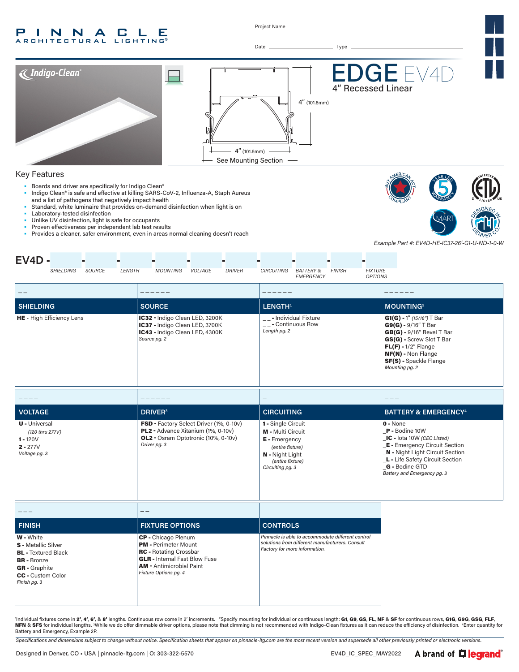#### INNA  $CLLE$ P. **ARCHITECTURAL**

Project Name

Date Type



#### Key Features

- Boards and driver are specifically for Indigo Clean®<br>• Indigo Clean® is safe and effective at killing SARS-0
- Indigo Clean® is safe and effective at killing SARS-CoV-2, Influenza-A, Staph Aureus
- and a list of pathogens that negatively impact health Standard, white luminaire that provides on-demand disinfection when light is on
- Laboratory-tested disinfection
- Unlike UV disinfection, light is safe for occupants
- Proven effectiveness per independent lab test results
- Provides a cleaner, safer environment, even in areas normal cleaning doesn't reach





*Example Part #: EV4D-HE-IC37-26'-G1-U-ND-1-0-W*

| $EV4D -$<br>SHIELDING<br>SOURCE<br>LENGTH                                                                                                                | <b>DRIVER</b><br><b>MOUNTING</b><br>VOLTAGE                                                                                                                                             | CIRCUITING<br><b>FINISH</b><br><b>FIXTURE</b><br><b>BATTERY &amp;</b>                                                                          |                                                                                                                                                                                                                                  |
|----------------------------------------------------------------------------------------------------------------------------------------------------------|-----------------------------------------------------------------------------------------------------------------------------------------------------------------------------------------|------------------------------------------------------------------------------------------------------------------------------------------------|----------------------------------------------------------------------------------------------------------------------------------------------------------------------------------------------------------------------------------|
|                                                                                                                                                          |                                                                                                                                                                                         | <b>OPTIONS</b><br>EMERGENCY                                                                                                                    |                                                                                                                                                                                                                                  |
| $- -$                                                                                                                                                    |                                                                                                                                                                                         |                                                                                                                                                |                                                                                                                                                                                                                                  |
| <b>SHIELDING</b>                                                                                                                                         | <b>SOURCE</b>                                                                                                                                                                           | LENGTH <sup>1</sup>                                                                                                                            | <b>MOUNTING<sup>2</sup></b>                                                                                                                                                                                                      |
| HE - High Efficiency Lens                                                                                                                                | IC32 - Indigo Clean LED, 3200K<br>IC37 - Indigo Clean LED, 3700K<br>IC43 - Indigo Clean LED, 4300K<br>Source pg. 2                                                                      | __- Individual Fixture<br>$\boxed{\phantom{1}}$ - Continuous Row<br>Length pg. 2                                                               | $G1(G) - 1''$ (15/16") T Bar<br>$G9(G) - 9/16''$ T Bar<br>$GB(G)$ - 9/16" Bevel T Bar<br>GS(G) - Screw Slot T Bar<br>$FL(F) - 1/2''$ Flange<br>NF(N) - Non Flange<br>SF(S) - Spackle Flange<br>Mounting pg. 2                    |
|                                                                                                                                                          |                                                                                                                                                                                         |                                                                                                                                                |                                                                                                                                                                                                                                  |
| <b>VOLTAGE</b>                                                                                                                                           | <b>DRIVER</b> <sup>3</sup>                                                                                                                                                              | <b>CIRCUITING</b>                                                                                                                              | <b>BATTERY &amp; EMERGENCY<sup>4</sup></b>                                                                                                                                                                                       |
| <b>U</b> - Universal<br>(120 thru 277V)<br>$1 - 120V$<br>$2 - 277V$<br>Voltage pg. 3                                                                     | FSD - Factory Select Driver (1%, 0-10v)<br>PL2 - Advance Xitanium (1%, 0-10v)<br>OL2 - Osram Optotronic (10%, 0-10v)<br>Driver pg. 3                                                    | 1 - Single Circuit<br><b>M</b> - Multi Circuit<br>E - Emergency<br>(entire fixture)<br>N - Night Light<br>(entire fixture)<br>Circuiting pg. 3 | $0 - None$<br>P - Bodine 10W<br>IC - lota 10W (CEC Listed)<br><b>E</b> - Emergency Circuit Section<br>N - Night Light Circuit Section<br>L - Life Safety Circuit Section<br><b>G</b> - Bodine GTD<br>Battery and Emergency pg. 3 |
| ---                                                                                                                                                      | --                                                                                                                                                                                      |                                                                                                                                                |                                                                                                                                                                                                                                  |
| <b>FINISH</b>                                                                                                                                            | <b>FIXTURE OPTIONS</b>                                                                                                                                                                  | <b>CONTROLS</b>                                                                                                                                |                                                                                                                                                                                                                                  |
| W - White<br><b>S</b> - Metallic Silver<br><b>BL</b> - Textured Black<br><b>BR</b> - Bronze<br><b>GR</b> - Graphite<br>CC - Custom Color<br>Finish pg. 3 | CP - Chicago Plenum<br><b>PM</b> - Perimeter Mount<br><b>RC</b> - Rotating Crossbar<br><b>GLR</b> - Internal Fast Blow Fuse<br><b>AM - Antimicrobial Paint</b><br>Fixture Options pg. 4 | Pinnacle is able to accommodate different control<br>solutions from different manufacturers. Consult<br>Factory for more information.          |                                                                                                                                                                                                                                  |

'Individual fixtures come in 2', 4', 6', & 8' lengths. Continuous row come in 2' increments. 2Specify mounting for individual or continuous length: G1, G9, GS, FL, NF & SF for continuous rows, G1G, G9G, GSG, FLF, **NFN** & **SFS** for individual lengths. <sup>3</sup>While we do offer dimmable driver options, please note that dimming is not recommended with Indigo-Clean fixtures as it can reduce the efficiency of disinfection. Enter quantity f

*Specifications and dimensions subject to change without notice. Specification sheets that appear on pinnacle-ltg.com are the most recent version and supersede all other previously printed or electronic versions.*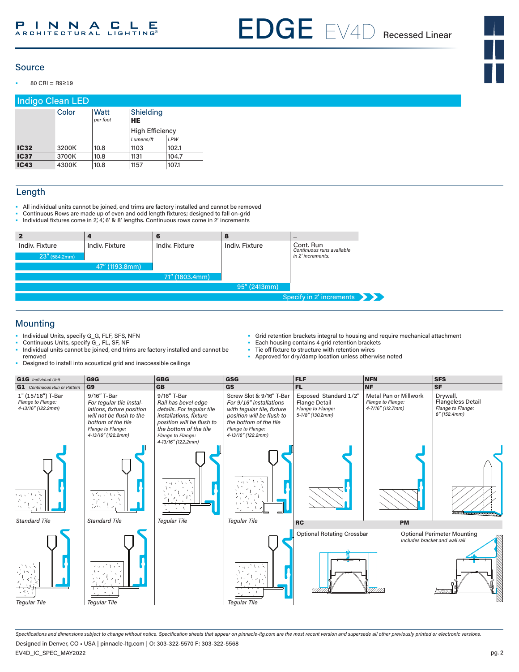EDGE EV4D Recessed Linear

## Source

• 80 CRI = R9≥19

|             | Indigo Clean LED |                  |                        |       |
|-------------|------------------|------------------|------------------------|-------|
|             | Color            | Watt<br>per foot | Shielding<br><b>HE</b> |       |
|             |                  |                  | <b>High Efficiency</b> |       |
|             |                  |                  | Lumens/ft              | LPW   |
| <b>IC32</b> | 3200K            | 10.8             | 1103                   | 102.1 |
| <b>IC37</b> | 3700K            | 10.8             | 1131                   | 104.7 |
| <b>IC43</b> | 4300K            | 10.8             | 1157                   | 107.1 |

# Length

- All individual units cannot be joined, end trims are factory installed and cannot be removed
- Continuous Rows are made up of even and odd length fixtures; designed to fall on-grid
- Individual fixtures come in 2', 4', 6' & 8' lengths. Continuous rows come in 2' increments

|                                    |                | 6              | 8              |                                                             |
|------------------------------------|----------------|----------------|----------------|-------------------------------------------------------------|
| Indiv. Fixture<br>$23''$ (584.2mm) | Indiv. Fixture | Indiv. Fixture | Indiv. Fixture | Cont. Run<br>Continuous runs available<br>in 2' increments. |
|                                    | 47" (1193.8mm) |                |                |                                                             |
|                                    |                | 71" (1803.4mm) |                |                                                             |
|                                    |                |                | 95" (2413mm)   |                                                             |
|                                    |                |                |                | Specify in 2' increments                                    |

# Mounting

- Individual Units, specify G\_G, FLF, SFS, NFN
- Continuous Units, specify G\_, FL, SF, NF
- Individual units cannot be joined, end trims are factory installed and cannot be removed
- Designed to install into acoustical grid and inaccessible ceilings
- Grid retention brackets integral to housing and require mechanical attachment
- Each housing contains 4 grid retention brackets
- Tie off fixture to structure with retention wires
- Approved for dry/damp location unless otherwise noted



*Specifications and dimensions subject to change without notice. Specification sheets that appear on pinnacle-ltg.com are the most recent version and supersede all other previously printed or electronic versions.* Designed in Denver, CO • USA | pinnacle-ltg.com | O: 303-322-5570 F: 303-322-5568

EV4D\_IC\_SPEC\_MAY2022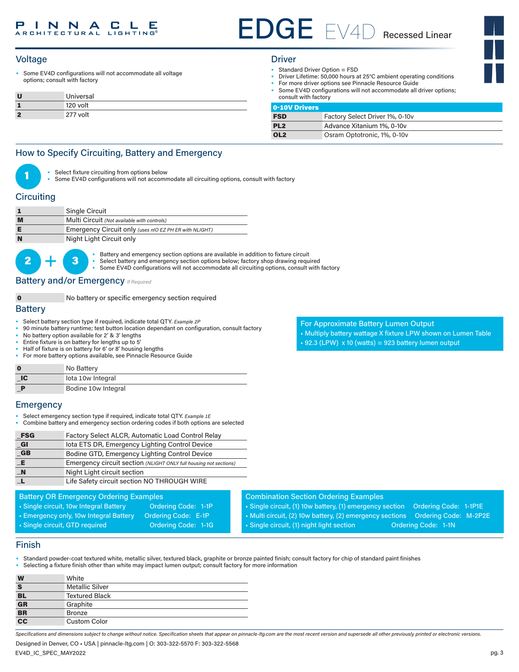# EDGE EV4D Recessed Linear

• Some EV4D configurations will not accommodate all voltage options; consult with factory

|            | Universal |
|------------|-----------|
|            | 120 volt  |
| $\epsilon$ | 277 volt  |

- Standard Driver Option = FSD
- Driver Lifetime: 50,000 hours at 25°C ambient operating conditions
- For more driver options see Pinnacle Resource Guide • Some EV4D configurations will not accommodate all driver options;
- consult with factory

|  | ٠ | ∾<br>. . | . . |  |
|--|---|----------|-----|--|

| Factory Select Driver 1%, 0-10v |
|---------------------------------|
| Advance Xitanium 1%, 0-10v      |
| Osram Optotronic, 1%, 0-10v     |
|                                 |

# How to Specify Circuiting, Battery and Emergency

- Select fixture circuiting from options below
- Some EV4D configurations will not accommodate all circuiting options, consult with factory

# **Circuiting**

| Single Circuit                                         |
|--------------------------------------------------------|
| Multi Circuit (Not available with controls)            |
| Emergency Circuit only (uses nIO EZ PH ER with NLIGHT) |
| Night Light Circuit only                               |

 $2 +$ • Battery and emergency section options are available in addition to fixture circuit<br>
• Select battery and emergency section options below; factory shop drawing required Some EV4D configurations will not accommodate all circuiting options, consult with factory

**Battery and/or Emergency**  *If Required* 

#### 0 No battery or specific emergency section required

## **Battery**

- Select battery section type if required, indicate total QTY*. Example 2P*
- 90 minute battery runtime; test button location dependant on configuration, consult factory
- No battery option available for 2' & 3' lengths
- Entire fixture is on battery for lengths up to 5'
- Half of fixture is on battery for 6' or 8' housing lengths
- For more battery options available, see Pinnacle Resource Guide

| $\bf{0}$ | No Battery          |
|----------|---------------------|
| $\Box C$ | lota 10w Integral   |
|          | Bodine 10w Integral |

## **Emergency**

- Select emergency section type if required, indicate total QTY. *Example 1E*
- Combine battery and emergency section ordering codes if both options are selected

| _FSG                 | Factory Select ALCR, Automatic Load Control Relay                 |
|----------------------|-------------------------------------------------------------------|
| $_{\blacksquare}$ Gl | lota ETS DR, Emergency Lighting Control Device                    |
| G                    | Bodine GTD, Emergency Lighting Control Device                     |
| E                    | Emergency circuit section (NLIGHT ONLY full housing not sections) |
| $\blacksquare$ N     | Night Light circuit section                                       |
|                      | Life Safety circuit section NO THROUGH WIRE                       |

#### Battery OR Emergency Ordering Examples

- Single circuit, 10w Integral Battery **Ordering Code: 1-1P**
- Emergency only, 10w Integral Battery Ordering Code: E-1P
- Single circuit, GTD required Condering Code: 1-1G
- 

For Approximate Battery Lumen Output • Multiply battery wattage X fixture LPW shown on Lumen Table  $• 92.3$  (LPW)  $x 10$  (watts) = 923 battery lumen output

- Combination Section Ordering Examples
- Single circuit, (1) 10w battery, (1) emergency section Ordering Code: 1-1P1E • Multi circuit, (2) 10w battery, (2) emergency sections Ordering Code: M-2P2E

• Single circuit, (1) night light section **Ordering Code: 1-1N** 

# Finish

- Standard powder-coat textured white, metallic silver, textured black, graphite or bronze painted finish; consult factory for chip of standard paint finishes
- Selecting a fixture finish other than white may impact lumen output; consult factory for more information

| W                                 | White                  |
|-----------------------------------|------------------------|
| S                                 | <b>Metallic Silver</b> |
| <b>BL</b>                         | <b>Textured Black</b>  |
| $\overline{\mathsf{GR}}$          | Graphite               |
| $B$ R                             | <b>Bronze</b>          |
| $\overline{\mathbf{c}\mathbf{c}}$ | Custom Color           |

*Specifications and dimensions subject to change without notice. Specification sheets that appear on pinnacle-ltg.com are the most recent version and supersede all other previously printed or electronic versions.*

Designed in Denver, CO • USA | pinnacle-ltg.com | O: 303-322-5570 F: 303-322-5568